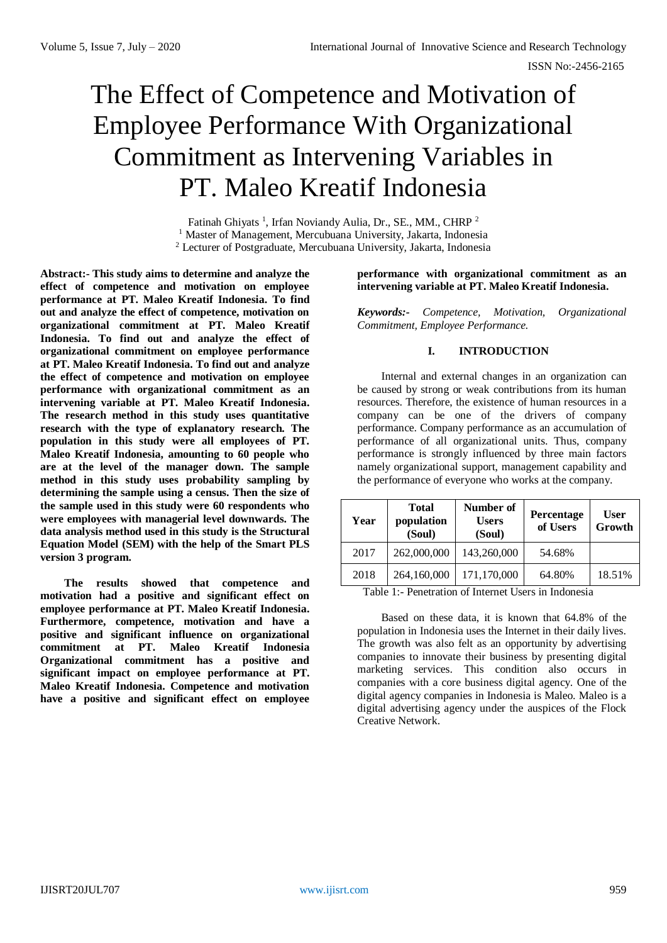# The Effect of Competence and Motivation of Employee Performance With Organizational Commitment as Intervening Variables in PT. Maleo Kreatif Indonesia

Fatinah Ghiyats<sup>1</sup>, Irfan Noviandy Aulia, Dr., SE., MM., CHRP<sup>2</sup> <sup>1</sup> Master of Management, Mercubuana University, Jakarta, Indonesia <sup>2</sup> Lecturer of Postgraduate, Mercubuana University, Jakarta, Indonesia

**Abstract:- This study aims to determine and analyze the effect of competence and motivation on employee performance at PT. Maleo Kreatif Indonesia. To find out and analyze the effect of competence, motivation on organizational commitment at PT. Maleo Kreatif Indonesia. To find out and analyze the effect of organizational commitment on employee performance at PT. Maleo Kreatif Indonesia. To find out and analyze the effect of competence and motivation on employee performance with organizational commitment as an intervening variable at PT. Maleo Kreatif Indonesia. The research method in this study uses quantitative research with the type of explanatory research. The population in this study were all employees of PT. Maleo Kreatif Indonesia, amounting to 60 people who are at the level of the manager down. The sample method in this study uses probability sampling by determining the sample using a census. Then the size of the sample used in this study were 60 respondents who were employees with managerial level downwards. The data analysis method used in this study is the Structural Equation Model (SEM) with the help of the Smart PLS version 3 program.**

**The results showed that competence and motivation had a positive and significant effect on employee performance at PT. Maleo Kreatif Indonesia. Furthermore, competence, motivation and have a positive and significant influence on organizational commitment at PT. Maleo Kreatif Indonesia Organizational commitment has a positive and significant impact on employee performance at PT. Maleo Kreatif Indonesia. Competence and motivation have a positive and significant effect on employee** 

## **performance with organizational commitment as an intervening variable at PT. Maleo Kreatif Indonesia.**

*Keywords:- Competence, Motivation, Organizational Commitment, Employee Performance.*

## **I. INTRODUCTION**

Internal and external changes in an organization can be caused by strong or weak contributions from its human resources. Therefore, the existence of human resources in a company can be one of the drivers of company performance. Company performance as an accumulation of performance of all organizational units. Thus, company performance is strongly influenced by three main factors namely organizational support, management capability and the performance of everyone who works at the company.

| Year | <b>Total</b><br>population<br>(Soul) | Number of<br><b>Users</b><br>(Soul) | Percentage<br>of Users | User<br>Growth |
|------|--------------------------------------|-------------------------------------|------------------------|----------------|
| 2017 | 262,000,000                          | 143,260,000                         | 54.68%                 |                |
| 2018 | 264,160,000                          | 171,170,000                         | 64.80%                 | 18.51%         |

Table 1:- Penetration of Internet Users in Indonesia

Based on these data, it is known that 64.8% of the population in Indonesia uses the Internet in their daily lives. The growth was also felt as an opportunity by advertising companies to innovate their business by presenting digital marketing services. This condition also occurs in companies with a core business digital agency. One of the digital agency companies in Indonesia is Maleo. Maleo is a digital advertising agency under the auspices of the Flock Creative Network.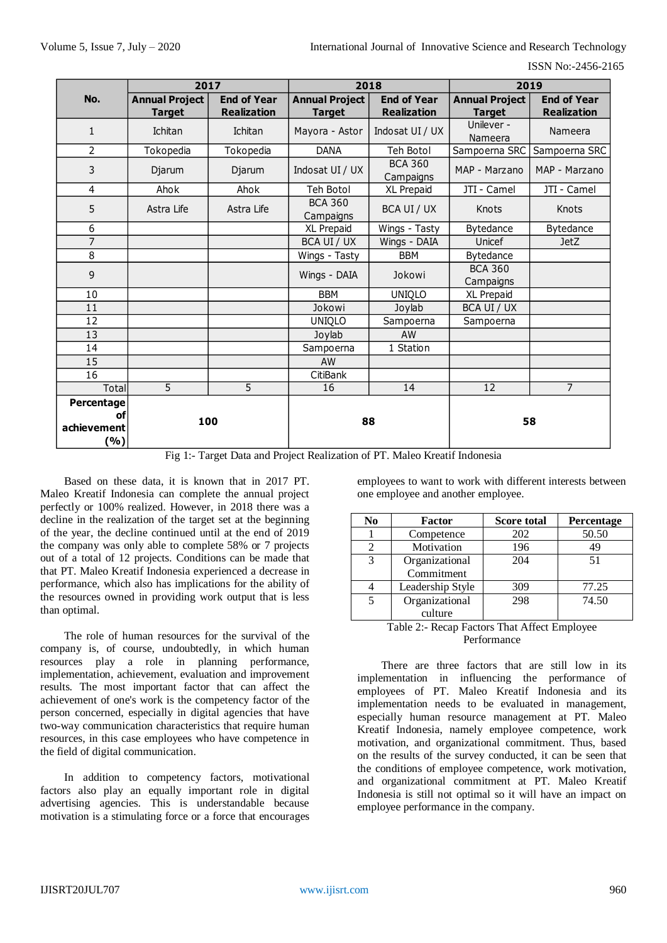|                                        | 2017                                   |                                          | 2018                                   |                                          | 2019                                   |                                          |
|----------------------------------------|----------------------------------------|------------------------------------------|----------------------------------------|------------------------------------------|----------------------------------------|------------------------------------------|
| No.                                    | <b>Annual Project</b><br><b>Target</b> | <b>End of Year</b><br><b>Realization</b> | <b>Annual Project</b><br><b>Target</b> | <b>End of Year</b><br><b>Realization</b> | <b>Annual Project</b><br><b>Target</b> | <b>End of Year</b><br><b>Realization</b> |
| $\mathbf{1}$                           | Ichitan                                | Ichitan                                  | Mayora - Astor                         | Indosat UI / UX                          | Unilever -<br>Nameera                  | Nameera                                  |
| $\overline{2}$                         | Tokopedia                              | Tokopedia                                | <b>DANA</b>                            | Teh Botol                                | Sampoerna SRC                          | Sampoerna SRC                            |
| 3                                      | Djarum                                 | Djarum                                   | Indosat UI / UX                        | <b>BCA 360</b><br>Campaigns              | MAP - Marzano                          | MAP - Marzano                            |
| 4                                      | Ahok                                   | Ahok                                     | Teh Botol                              | XL Prepaid                               | JTI - Camel                            | JTI - Camel                              |
| 5                                      | Astra Life                             | Astra Life                               | <b>BCA 360</b><br>Campaigns            | BCA UI / UX                              | Knots                                  | Knots                                    |
| 6                                      |                                        |                                          | XL Prepaid                             | Wings - Tasty                            | <b>Bytedance</b>                       | Bytedance                                |
| $\overline{7}$                         |                                        |                                          | BCA UI / UX                            | Wings - DAIA                             | Unicef                                 | <b>JetZ</b>                              |
| 8                                      |                                        |                                          | Wings - Tasty                          | <b>BBM</b>                               | Bytedance                              |                                          |
| 9                                      |                                        |                                          | Wings - DAIA                           | Jokowi                                   | <b>BCA 360</b><br>Campaigns            |                                          |
| 10                                     |                                        |                                          | <b>BBM</b>                             | UNIQLO                                   | XL Prepaid                             |                                          |
| 11                                     |                                        |                                          | Jokowi                                 | Joylab                                   | BCA UI / UX                            |                                          |
| 12                                     |                                        |                                          | UNIQLO                                 | Sampoerna                                | Sampoerna                              |                                          |
| 13                                     |                                        |                                          | Joylab                                 | AW                                       |                                        |                                          |
| 14                                     |                                        |                                          | Sampoerna                              | 1 Station                                |                                        |                                          |
| 15                                     |                                        |                                          | AW                                     |                                          |                                        |                                          |
| 16                                     |                                        |                                          | CitiBank                               |                                          |                                        |                                          |
| Total                                  | 5                                      | 5                                        | 16                                     | 14                                       | 12                                     | $\overline{7}$                           |
| Percentage<br>οf<br>achievement<br>(%) | 100                                    |                                          | 88                                     |                                          |                                        | 58                                       |

Fig 1:- Target Data and Project Realization of PT. Maleo Kreatif Indonesia

Based on these data, it is known that in 2017 PT. Maleo Kreatif Indonesia can complete the annual project perfectly or 100% realized. However, in 2018 there was a decline in the realization of the target set at the beginning of the year, the decline continued until at the end of 2019 the company was only able to complete 58% or 7 projects out of a total of 12 projects. Conditions can be made that that PT. Maleo Kreatif Indonesia experienced a decrease in performance, which also has implications for the ability of the resources owned in providing work output that is less than optimal.

The role of human resources for the survival of the company is, of course, undoubtedly, in which human resources play a role in planning performance, implementation, achievement, evaluation and improvement results. The most important factor that can affect the achievement of one's work is the competency factor of the person concerned, especially in digital agencies that have two-way communication characteristics that require human resources, in this case employees who have competence in the field of digital communication.

In addition to competency factors, motivational factors also play an equally important role in digital advertising agencies. This is understandable because motivation is a stimulating force or a force that encourages employees to want to work with different interests between one employee and another employee.

| N <sub>0</sub>                              | Factor           | <b>Score total</b> | <b>Percentage</b> |
|---------------------------------------------|------------------|--------------------|-------------------|
|                                             | Competence       | 202                | 50.50             |
|                                             | Motivation       | 196                | 49                |
| 3                                           | Organizational   | 204                | 51                |
|                                             | Commitment       |                    |                   |
|                                             | Leadership Style | 309                | 77.25             |
| 5                                           | Organizational   | 298                | 74.50             |
|                                             | culture          |                    |                   |
| Table 2: Pecan Factors That Affect Employee |                  |                    |                   |

#### Table 2:- Recap Factors That Affect Employee Performance

There are three factors that are still low in its implementation in influencing the performance of employees of PT. Maleo Kreatif Indonesia and its implementation needs to be evaluated in management, especially human resource management at PT. Maleo Kreatif Indonesia, namely employee competence, work motivation, and organizational commitment. Thus, based on the results of the survey conducted, it can be seen that the conditions of employee competence, work motivation, and organizational commitment at PT. Maleo Kreatif Indonesia is still not optimal so it will have an impact on employee performance in the company.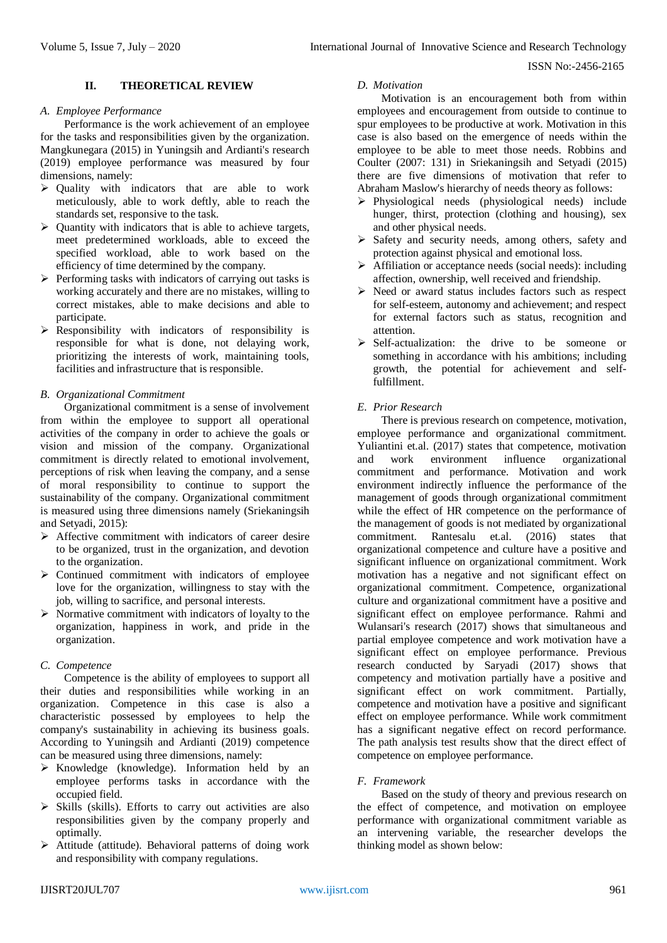## **II. THEORETICAL REVIEW**

#### *A. Employee Performance*

Performance is the work achievement of an employee for the tasks and responsibilities given by the organization. Mangkunegara (2015) in Yuningsih and Ardianti's research (2019) employee performance was measured by four dimensions, namely:

- $\triangleright$  Quality with indicators that are able to work meticulously, able to work deftly, able to reach the standards set, responsive to the task.
- $\triangleright$  Quantity with indicators that is able to achieve targets, meet predetermined workloads, able to exceed the specified workload, able to work based on the efficiency of time determined by the company.
- $\triangleright$  Performing tasks with indicators of carrying out tasks is working accurately and there are no mistakes, willing to correct mistakes, able to make decisions and able to participate.
- $\triangleright$  Responsibility with indicators of responsibility is responsible for what is done, not delaying work, prioritizing the interests of work, maintaining tools, facilities and infrastructure that is responsible.

## *B. Organizational Commitment*

Organizational commitment is a sense of involvement from within the employee to support all operational activities of the company in order to achieve the goals or vision and mission of the company. Organizational commitment is directly related to emotional involvement, perceptions of risk when leaving the company, and a sense of moral responsibility to continue to support the sustainability of the company. Organizational commitment is measured using three dimensions namely (Sriekaningsih and Setyadi, 2015):

- $\triangleright$  Affective commitment with indicators of career desire to be organized, trust in the organization, and devotion to the organization.
- $\triangleright$  Continued commitment with indicators of employee love for the organization, willingness to stay with the job, willing to sacrifice, and personal interests.
- $\triangleright$  Normative commitment with indicators of loyalty to the organization, happiness in work, and pride in the organization.

## *C. Competence*

Competence is the ability of employees to support all their duties and responsibilities while working in an organization. Competence in this case is also a characteristic possessed by employees to help the company's sustainability in achieving its business goals. According to Yuningsih and Ardianti (2019) competence can be measured using three dimensions, namely:

- $\triangleright$  Knowledge (knowledge). Information held by an employee performs tasks in accordance with the occupied field.
- $\triangleright$  Skills (skills). Efforts to carry out activities are also responsibilities given by the company properly and optimally.
- $\triangleright$  Attitude (attitude). Behavioral patterns of doing work and responsibility with company regulations.

# *D. Motivation*

Motivation is an encouragement both from within employees and encouragement from outside to continue to spur employees to be productive at work. Motivation in this case is also based on the emergence of needs within the employee to be able to meet those needs. Robbins and Coulter (2007: 131) in Sriekaningsih and Setyadi (2015) there are five dimensions of motivation that refer to Abraham Maslow's hierarchy of needs theory as follows:

- $\triangleright$  Physiological needs (physiological needs) include hunger, thirst, protection (clothing and housing), sex and other physical needs.
- $\triangleright$  Safety and security needs, among others, safety and protection against physical and emotional loss.
- $\triangleright$  Affiliation or acceptance needs (social needs): including affection, ownership, well received and friendship.
- $\triangleright$  Need or award status includes factors such as respect for self-esteem, autonomy and achievement; and respect for external factors such as status, recognition and attention.
- $\triangleright$  Self-actualization: the drive to be someone or something in accordance with his ambitions; including growth, the potential for achievement and selffulfillment.

## *E. Prior Research*

There is previous research on competence, motivation, employee performance and organizational commitment. Yuliantini et.al. (2017) states that competence, motivation and work environment influence organizational commitment and performance. Motivation and work environment indirectly influence the performance of the management of goods through organizational commitment while the effect of HR competence on the performance of the management of goods is not mediated by organizational commitment. Rantesalu et.al. (2016) states that organizational competence and culture have a positive and significant influence on organizational commitment. Work motivation has a negative and not significant effect on organizational commitment. Competence, organizational culture and organizational commitment have a positive and significant effect on employee performance. Rahmi and Wulansari's research (2017) shows that simultaneous and partial employee competence and work motivation have a significant effect on employee performance. Previous research conducted by Saryadi (2017) shows that competency and motivation partially have a positive and significant effect on work commitment. Partially, competence and motivation have a positive and significant effect on employee performance. While work commitment has a significant negative effect on record performance. The path analysis test results show that the direct effect of competence on employee performance.

# *F. Framework*

Based on the study of theory and previous research on the effect of competence, and motivation on employee performance with organizational commitment variable as an intervening variable, the researcher develops the thinking model as shown below: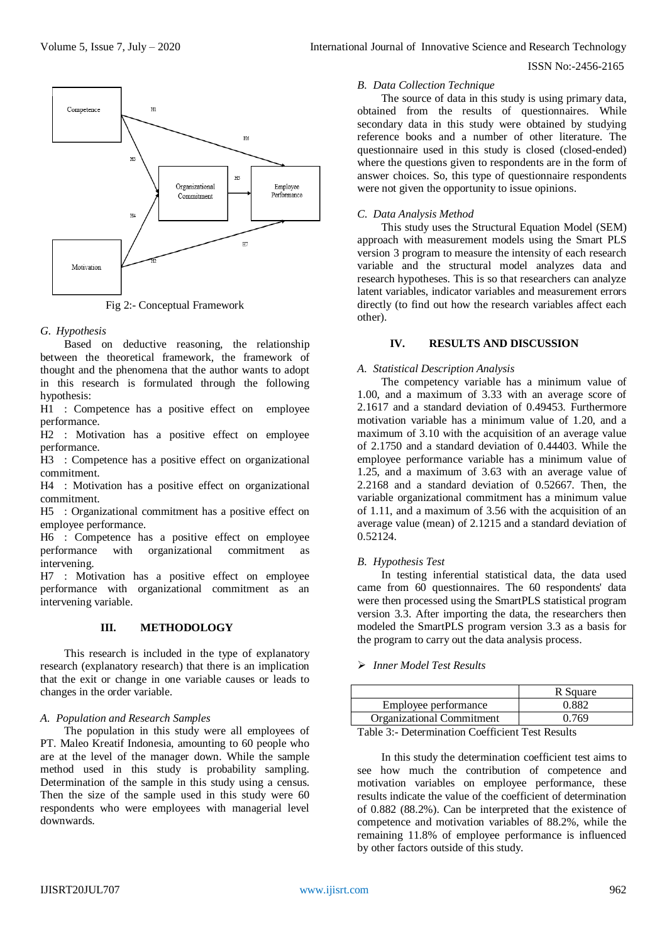

Fig 2:- Conceptual Framework

## *G. Hypothesis*

Based on deductive reasoning, the relationship between the theoretical framework, the framework of thought and the phenomena that the author wants to adopt in this research is formulated through the following hypothesis:

H1 : Competence has a positive effect on employee performance.

H2 : Motivation has a positive effect on employee performance.

H3 : Competence has a positive effect on organizational commitment.

H4 : Motivation has a positive effect on organizational commitment.

H5 : Organizational commitment has a positive effect on employee performance.

H6 : Competence has a positive effect on employee performance with organizational commitment as intervening.

H7 : Motivation has a positive effect on employee performance with organizational commitment as an intervening variable.

## **III. METHODOLOGY**

This research is included in the type of explanatory research (explanatory research) that there is an implication that the exit or change in one variable causes or leads to changes in the order variable.

## *A. Population and Research Samples*

The population in this study were all employees of PT. Maleo Kreatif Indonesia, amounting to 60 people who are at the level of the manager down. While the sample method used in this study is probability sampling. Determination of the sample in this study using a census. Then the size of the sample used in this study were 60 respondents who were employees with managerial level downwards.

#### *B. Data Collection Technique*

The source of data in this study is using primary data, obtained from the results of questionnaires. While secondary data in this study were obtained by studying reference books and a number of other literature. The questionnaire used in this study is closed (closed-ended) where the questions given to respondents are in the form of answer choices. So, this type of questionnaire respondents were not given the opportunity to issue opinions.

# *C. Data Analysis Method*

This study uses the Structural Equation Model (SEM) approach with measurement models using the Smart PLS version 3 program to measure the intensity of each research variable and the structural model analyzes data and research hypotheses. This is so that researchers can analyze latent variables, indicator variables and measurement errors directly (to find out how the research variables affect each other).

## **IV. RESULTS AND DISCUSSION**

## *A. Statistical Description Analysis*

The competency variable has a minimum value of 1.00, and a maximum of 3.33 with an average score of 2.1617 and a standard deviation of 0.49453. Furthermore motivation variable has a minimum value of 1.20, and a maximum of 3.10 with the acquisition of an average value of 2.1750 and a standard deviation of 0.44403. While the employee performance variable has a minimum value of 1.25, and a maximum of 3.63 with an average value of 2.2168 and a standard deviation of 0.52667. Then, the variable organizational commitment has a minimum value of 1.11, and a maximum of 3.56 with the acquisition of an average value (mean) of 2.1215 and a standard deviation of  $0.52124.$ 

## *B. Hypothesis Test*

In testing inferential statistical data, the data used came from 60 questionnaires. The 60 respondents' data were then processed using the SmartPLS statistical program version 3.3. After importing the data, the researchers then modeled the SmartPLS program version 3.3 as a basis for the program to carry out the data analysis process.

## *Inner Model Test Results*

|                                                 | R Square |  |
|-------------------------------------------------|----------|--|
| Employee performance                            | 0.882    |  |
| Organizational Commitment                       | 0.769    |  |
| Table 3: Determination Coefficient Test Results |          |  |

Table 3:- Determination Coefficient Test Results

In this study the determination coefficient test aims to see how much the contribution of competence and motivation variables on employee performance, these results indicate the value of the coefficient of determination of 0.882 (88.2%). Can be interpreted that the existence of competence and motivation variables of 88.2%, while the remaining 11.8% of employee performance is influenced by other factors outside of this study.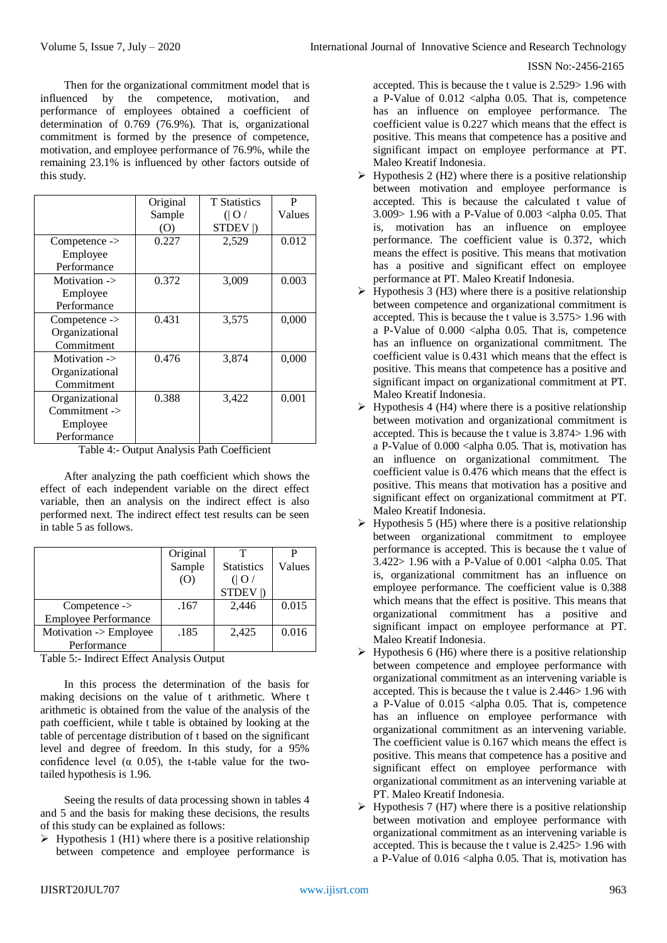Then for the organizational commitment model that is influenced by the competence, motivation, and performance of employees obtained a coefficient of determination of 0.769 (76.9%). That is, organizational commitment is formed by the presence of competence, motivation, and employee performance of 76.9%, while the remaining 23.1% is influenced by other factors outside of this study.

|                 | Original | <b>T</b> Statistics | P      |
|-----------------|----------|---------------------|--------|
|                 | Sample   | ( O )               | Values |
|                 | (O)      | STDEV  )            |        |
| $Competence ->$ | 0.227    | 2,529               | 0.012  |
| Employee        |          |                     |        |
| Performance     |          |                     |        |
| Motivation ->   | 0.372    | 3,009               | 0.003  |
| Employee        |          |                     |        |
| Performance     |          |                     |        |
| $Competence ->$ | 0.431    | 3,575               | 0,000  |
| Organizational  |          |                     |        |
| Commitment      |          |                     |        |
| Motivation ->   | 0.476    | 3,874               | 0,000  |
| Organizational  |          |                     |        |
| Commitment      |          |                     |        |
| Organizational  | 0.388    | 3,422               | 0.001  |
| $Comment$ ->    |          |                     |        |
| Employee        |          |                     |        |
| Performance     |          |                     |        |

Table 4:- Output Analysis Path Coefficient

After analyzing the path coefficient which shows the effect of each independent variable on the direct effect variable, then an analysis on the indirect effect is also performed next. The indirect effect test results can be seen in table 5 as follows.

|                             | Original |                   |        |
|-----------------------------|----------|-------------------|--------|
|                             | Sample   | <b>Statistics</b> | Values |
|                             | (0)      | ( O )             |        |
|                             |          | STDEV  )          |        |
| $Competence ->$             | .167     | 2,446             | 0.015  |
| <b>Employee Performance</b> |          |                   |        |
| Motivation -> Employee      | .185     | 2,425             | 0.016  |
| Performance                 |          |                   |        |

Table 5:- Indirect Effect Analysis Output

In this process the determination of the basis for making decisions on the value of t arithmetic. Where t arithmetic is obtained from the value of the analysis of the path coefficient, while t table is obtained by looking at the table of percentage distribution of t based on the significant level and degree of freedom. In this study, for a 95% confidence level ( $\alpha$  0.05), the t-table value for the twotailed hypothesis is 1.96.

Seeing the results of data processing shown in tables 4 and 5 and the basis for making these decisions, the results of this study can be explained as follows:

 $\triangleright$  Hypothesis 1 (H1) where there is a positive relationship between competence and employee performance is

accepted. This is because the t value is 2.529> 1.96 with a P-Value of 0.012 <alpha 0.05. That is, competence has an influence on employee performance. The coefficient value is 0.227 which means that the effect is positive. This means that competence has a positive and significant impact on employee performance at PT. Maleo Kreatif Indonesia.

- $\triangleright$  Hypothesis 2 (H2) where there is a positive relationship between motivation and employee performance is accepted. This is because the calculated t value of 3.009> 1.96 with a P-Value of 0.003 <alpha 0.05. That is, motivation has an influence on employee performance. The coefficient value is 0.372, which means the effect is positive. This means that motivation has a positive and significant effect on employee performance at PT. Maleo Kreatif Indonesia.
- $\triangleright$  Hypothesis 3 (H3) where there is a positive relationship between competence and organizational commitment is accepted. This is because the t value is 3.575> 1.96 with a P-Value of  $0.000$  <alpha 0.05. That is, competence has an influence on organizational commitment. The coefficient value is 0.431 which means that the effect is positive. This means that competence has a positive and significant impact on organizational commitment at PT. Maleo Kreatif Indonesia.
- $\triangleright$  Hypothesis 4 (H4) where there is a positive relationship between motivation and organizational commitment is accepted. This is because the t value is 3.874> 1.96 with a P-Value of 0.000 <alpha 0.05. That is, motivation has an influence on organizational commitment. The coefficient value is 0.476 which means that the effect is positive. This means that motivation has a positive and significant effect on organizational commitment at PT. Maleo Kreatif Indonesia.
- $\triangleright$  Hypothesis 5 (H5) where there is a positive relationship between organizational commitment to employee performance is accepted. This is because the t value of  $3.422 > 1.96$  with a P-Value of  $0.001$  <alpha 0.05. That is, organizational commitment has an influence on employee performance. The coefficient value is 0.388 which means that the effect is positive. This means that organizational commitment has a positive and significant impact on employee performance at PT. Maleo Kreatif Indonesia.
- $\triangleright$  Hypothesis 6 (H6) where there is a positive relationship between competence and employee performance with organizational commitment as an intervening variable is accepted. This is because the t value is 2.446> 1.96 with a P-Value of  $0.015$  <alpha 0.05. That is, competence has an influence on employee performance with organizational commitment as an intervening variable. The coefficient value is 0.167 which means the effect is positive. This means that competence has a positive and significant effect on employee performance with organizational commitment as an intervening variable at PT. Maleo Kreatif Indonesia.
- $\triangleright$  Hypothesis 7 (H7) where there is a positive relationship between motivation and employee performance with organizational commitment as an intervening variable is accepted. This is because the t value is 2.425> 1.96 with a P-Value of 0.016 <alpha 0.05. That is, motivation has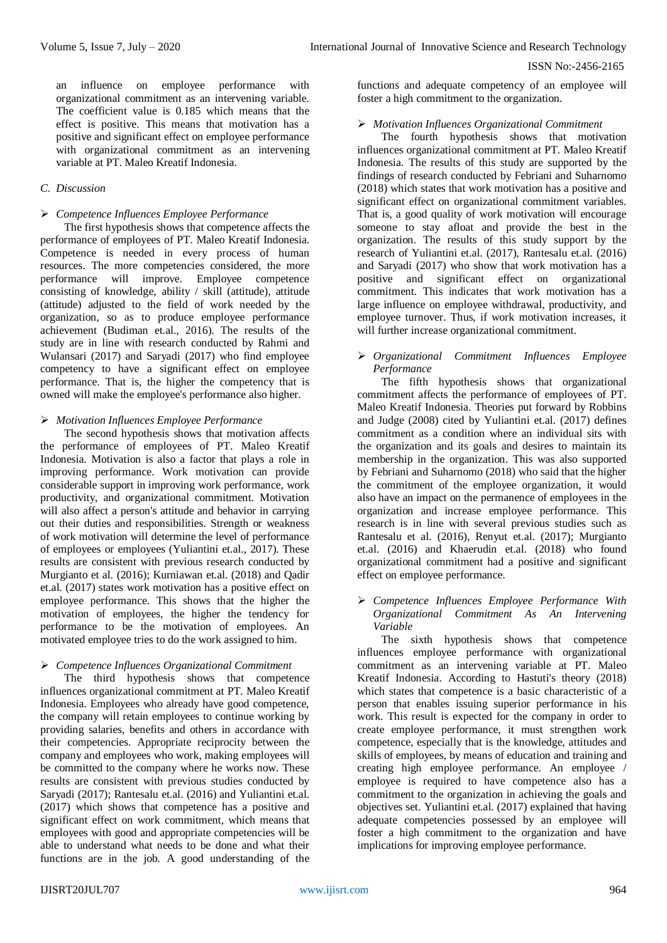an influence on employee performance with organizational commitment as an intervening variable. The coefficient value is 0.185 which means that the effect is positive. This means that motivation has a positive and significant effect on employee performance with organizational commitment as an intervening variable at PT. Maleo Kreatif Indonesia.

## *C. Discussion*

## *Competence Influences Employee Performance*

The first hypothesis shows that competence affects the performance of employees of PT. Maleo Kreatif Indonesia. Competence is needed in every process of human resources. The more competencies considered, the more performance will improve. Employee competence consisting of knowledge, ability / skill (attitude), attitude (attitude) adjusted to the field of work needed by the organization, so as to produce employee performance achievement (Budiman et.al., 2016). The results of the study are in line with research conducted by Rahmi and Wulansari (2017) and Saryadi (2017) who find employee competency to have a significant effect on employee performance. That is, the higher the competency that is owned will make the employee's performance also higher.

#### *Motivation Influences Employee Performance*

The second hypothesis shows that motivation affects the performance of employees of PT. Maleo Kreatif Indonesia. Motivation is also a factor that plays a role in improving performance. Work motivation can provide considerable support in improving work performance, work productivity, and organizational commitment. Motivation will also affect a person's attitude and behavior in carrying out their duties and responsibilities. Strength or weakness of work motivation will determine the level of performance of employees or employees (Yuliantini et.al., 2017). These results are consistent with previous research conducted by Murgianto et al. (2016); Kurniawan et.al. (2018) and Qadir et.al. (2017) states work motivation has a positive effect on employee performance. This shows that the higher the motivation of employees, the higher the tendency for performance to be the motivation of employees. An motivated employee tries to do the work assigned to him.

#### *Competence Influences Organizational Commitment*

The third hypothesis shows that competence influences organizational commitment at PT. Maleo Kreatif Indonesia. Employees who already have good competence, the company will retain employees to continue working by providing salaries, benefits and others in accordance with their competencies. Appropriate reciprocity between the company and employees who work, making employees will be committed to the company where he works now. These results are consistent with previous studies conducted by Saryadi (2017); Rantesalu et.al. (2016) and Yuliantini et.al. (2017) which shows that competence has a positive and significant effect on work commitment, which means that employees with good and appropriate competencies will be able to understand what needs to be done and what their functions are in the job. A good understanding of the

functions and adequate competency of an employee will foster a high commitment to the organization.

#### *Motivation Influences Organizational Commitment*

The fourth hypothesis shows that motivation influences organizational commitment at PT. Maleo Kreatif Indonesia. The results of this study are supported by the findings of research conducted by Febriani and Suharnomo (2018) which states that work motivation has a positive and significant effect on organizational commitment variables. That is, a good quality of work motivation will encourage someone to stay afloat and provide the best in the organization. The results of this study support by the research of Yuliantini et.al. (2017), Rantesalu et.al. (2016) and Saryadi (2017) who show that work motivation has a positive and significant effect on organizational commitment. This indicates that work motivation has a large influence on employee withdrawal, productivity, and employee turnover. Thus, if work motivation increases, it will further increase organizational commitment.

## *Organizational Commitment Influences Employee Performance*

The fifth hypothesis shows that organizational commitment affects the performance of employees of PT. Maleo Kreatif Indonesia. Theories put forward by Robbins and Judge (2008) cited by Yuliantini et.al. (2017) defines commitment as a condition where an individual sits with the organization and its goals and desires to maintain its membership in the organization. This was also supported by Febriani and Suharnomo (2018) who said that the higher the commitment of the employee organization, it would also have an impact on the permanence of employees in the organization and increase employee performance. This research is in line with several previous studies such as Rantesalu et al. (2016), Renyut et.al. (2017); Murgianto et.al. (2016) and Khaerudin et.al. (2018) who found organizational commitment had a positive and significant effect on employee performance.

#### *Competence Influences Employee Performance With Organizational Commitment As An Intervening Variable*

The sixth hypothesis shows that competence influences employee performance with organizational commitment as an intervening variable at PT. Maleo Kreatif Indonesia. According to Hastuti's theory (2018) which states that competence is a basic characteristic of a person that enables issuing superior performance in his work. This result is expected for the company in order to create employee performance, it must strengthen work competence, especially that is the knowledge, attitudes and skills of employees, by means of education and training and creating high employee performance. An employee / employee is required to have competence also has a commitment to the organization in achieving the goals and objectives set. Yuliantini et.al. (2017) explained that having adequate competencies possessed by an employee will foster a high commitment to the organization and have implications for improving employee performance.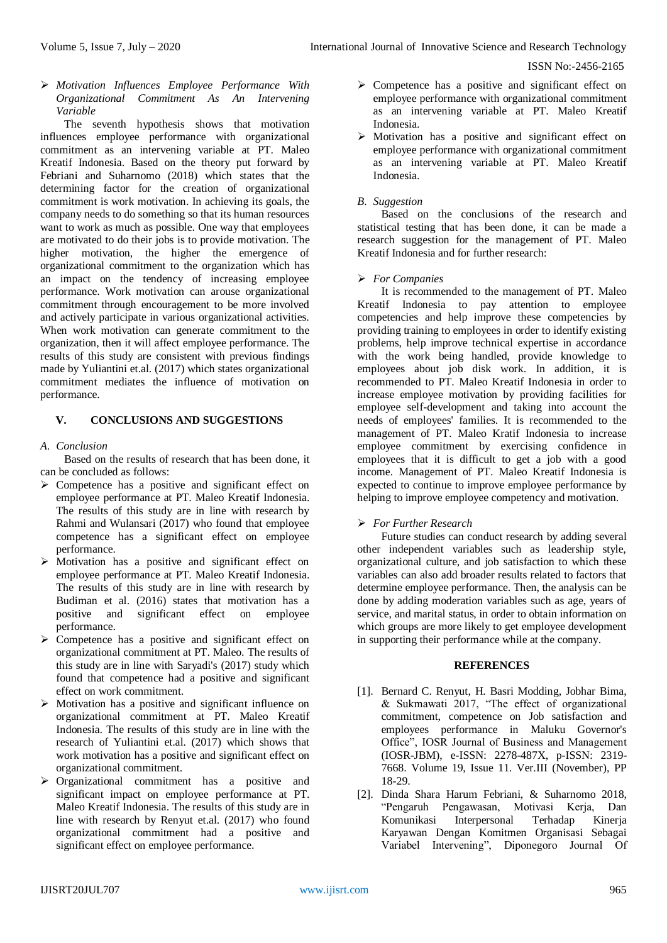*Motivation Influences Employee Performance With Organizational Commitment As An Intervening Variable*

The seventh hypothesis shows that motivation influences employee performance with organizational commitment as an intervening variable at PT. Maleo Kreatif Indonesia. Based on the theory put forward by Febriani and Suharnomo (2018) which states that the determining factor for the creation of organizational commitment is work motivation. In achieving its goals, the company needs to do something so that its human resources want to work as much as possible. One way that employees are motivated to do their jobs is to provide motivation. The higher motivation, the higher the emergence of organizational commitment to the organization which has an impact on the tendency of increasing employee performance. Work motivation can arouse organizational commitment through encouragement to be more involved and actively participate in various organizational activities. When work motivation can generate commitment to the organization, then it will affect employee performance. The results of this study are consistent with previous findings made by Yuliantini et.al. (2017) which states organizational commitment mediates the influence of motivation on performance.

## **V. CONCLUSIONS AND SUGGESTIONS**

*A. Conclusion*

Based on the results of research that has been done, it can be concluded as follows:

- $\triangleright$  Competence has a positive and significant effect on employee performance at PT. Maleo Kreatif Indonesia. The results of this study are in line with research by Rahmi and Wulansari (2017) who found that employee competence has a significant effect on employee performance.
- $\triangleright$  Motivation has a positive and significant effect on employee performance at PT. Maleo Kreatif Indonesia. The results of this study are in line with research by Budiman et al. (2016) states that motivation has a positive and significant effect on employee performance.
- $\triangleright$  Competence has a positive and significant effect on organizational commitment at PT. Maleo. The results of this study are in line with Saryadi's (2017) study which found that competence had a positive and significant effect on work commitment.
- $\triangleright$  Motivation has a positive and significant influence on organizational commitment at PT. Maleo Kreatif Indonesia. The results of this study are in line with the research of Yuliantini et.al. (2017) which shows that work motivation has a positive and significant effect on organizational commitment.
- > Organizational commitment has a positive and significant impact on employee performance at PT. Maleo Kreatif Indonesia. The results of this study are in line with research by Renyut et.al. (2017) who found organizational commitment had a positive and significant effect on employee performance.
- $\triangleright$  Competence has a positive and significant effect on employee performance with organizational commitment as an intervening variable at PT. Maleo Kreatif Indonesia.
- $\triangleright$  Motivation has a positive and significant effect on employee performance with organizational commitment as an intervening variable at PT. Maleo Kreatif Indonesia.

## *B. Suggestion*

Based on the conclusions of the research and statistical testing that has been done, it can be made a research suggestion for the management of PT. Maleo Kreatif Indonesia and for further research:

## *For Companies*

It is recommended to the management of PT. Maleo Kreatif Indonesia to pay attention to employee competencies and help improve these competencies by providing training to employees in order to identify existing problems, help improve technical expertise in accordance with the work being handled, provide knowledge to employees about job disk work. In addition, it is recommended to PT. Maleo Kreatif Indonesia in order to increase employee motivation by providing facilities for employee self-development and taking into account the needs of employees' families. It is recommended to the management of PT. Maleo Kratif Indonesia to increase employee commitment by exercising confidence in employees that it is difficult to get a job with a good income. Management of PT. Maleo Kreatif Indonesia is expected to continue to improve employee performance by helping to improve employee competency and motivation.

# *For Further Research*

Future studies can conduct research by adding several other independent variables such as leadership style, organizational culture, and job satisfaction to which these variables can also add broader results related to factors that determine employee performance. Then, the analysis can be done by adding moderation variables such as age, years of service, and marital status, in order to obtain information on which groups are more likely to get employee development in supporting their performance while at the company.

#### **REFERENCES**

- [1]. Bernard C. Renyut, H. Basri Modding, Jobhar Bima, & Sukmawati 2017, "The effect of organizational commitment, competence on Job satisfaction and employees performance in Maluku Governor's Office", IOSR Journal of Business and Management (IOSR-JBM), e-ISSN: 2278-487X, p-ISSN: 2319- 7668. Volume 19, Issue 11. Ver.III (November), PP 18-29.
- [2]. Dinda Shara Harum Febriani, & Suharnomo 2018, "Pengaruh Pengawasan, Motivasi Kerja, Dan Komunikasi Interpersonal Terhadap Kinerja Karyawan Dengan Komitmen Organisasi Sebagai Variabel Intervening", Diponegoro Journal Of